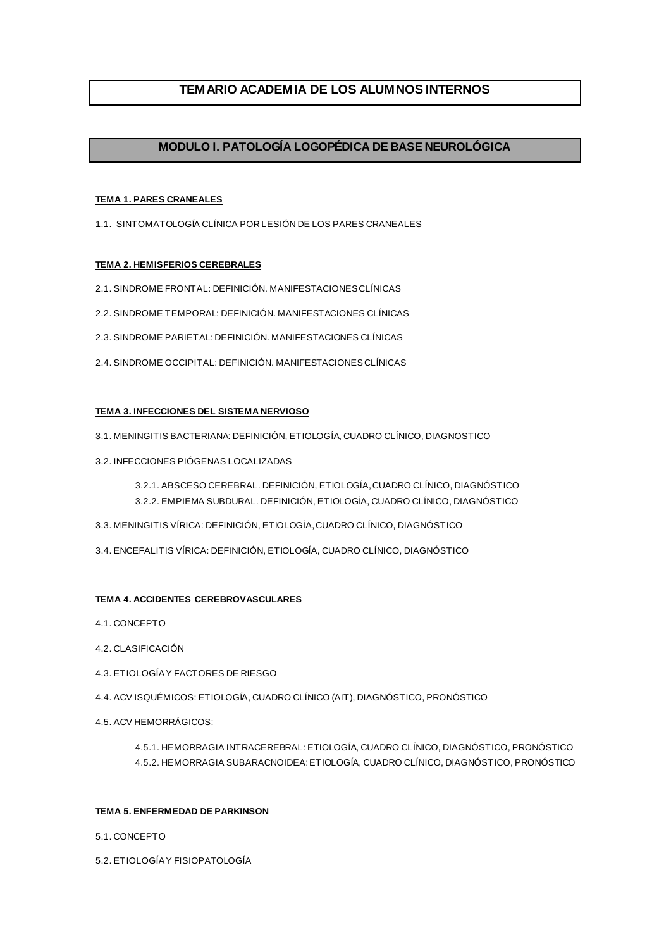## **TEMARIO ACADEMIA DE LOS ALUMNOS INTERNOS**

## **MODULO I. PATOLOGÍA LOGOPÉDICA DE BASE NEUROLÓGICA**

## **TEMA 1. PARES CRANEALES**

1.1. SINTOMATOLOGÍA CLÍNICA POR LESIÓN DE LOS PARES CRANEALES

## **TEMA 2. HEMISFERIOS CEREBRALES**

- 2.1. SINDROME FRONTAL: DEFINICIÓN. MANIFESTACIONES CLÍNICAS
- 2.2. SINDROME TEMPORAL: DEFINICIÓN. MANIFESTACIONES CLÍNICAS
- 2.3. SINDROME PARIETAL: DEFINICIÓN. MANIFESTACIONES CLÍNICAS
- 2.4. SINDROME OCCIPITAL: DEFINICIÓN. MANIFESTACIONES CLÍNICAS

## **TEMA 3. INFECCIONES DEL SISTEMA NERVIOSO**

- 3.1. MENINGITIS BACTERIANA: DEFINICIÓN, ETIOLOGÍA, CUADRO CLÍNICO, DIAGNOSTICO
- 3.2. INFECCIONES PIÓGENAS LOCALIZADAS
	- 3.2.1. ABSCESO CEREBRAL. DEFINICIÓN, ETIOLOGÍA, CUADRO CLÍNICO, DIAGNÓSTICO 3.2.2. EMPIEMA SUBDURAL. DEFINICIÓN, ETIOLOGÍA, CUADRO CLÍNICO, DIAGNÓSTICO
- 3.3. MENINGITIS VÍRICA: DEFINICIÓN, ETIOLOGÍA, CUADRO CLÍNICO, DIAGNÓSTICO
- 3.4. ENCEFALITIS VÍRICA: DEFINICIÓN, ETIOLOGÍA, CUADRO CLÍNICO, DIAGNÓSTICO

## **TEMA 4. ACCIDENTES CEREBROVASCULARES**

- 4.1. CONCEPTO
- 4.2. CLASIFICACIÓN
- 4.3. ETIOLOGÍA Y FACTORES DE RIESGO
- 4.4. ACV ISQUÉMICOS: ETIOLOGÍA, CUADRO CLÍNICO (AIT), DIAGNÓSTICO, PRONÓSTICO
- 4.5. ACV HEMORRÁGICOS:

4.5.1. HEMORRAGIA INTRACEREBRAL: ETIOLOGÍA, CUADRO CLÍNICO, DIAGNÓSTICO, PRONÓSTICO 4.5.2. HEMORRAGIA SUBARACNOIDEA: ETIOLOGÍA, CUADRO CLÍNICO, DIAGNÓSTICO, PRONÓSTICO

### **TEMA 5. ENFERMEDAD DE PARKINSON**

- 5.1. CONCEPTO
- 5.2. ETIOLOGÍA Y FISIOPATOLOGÍA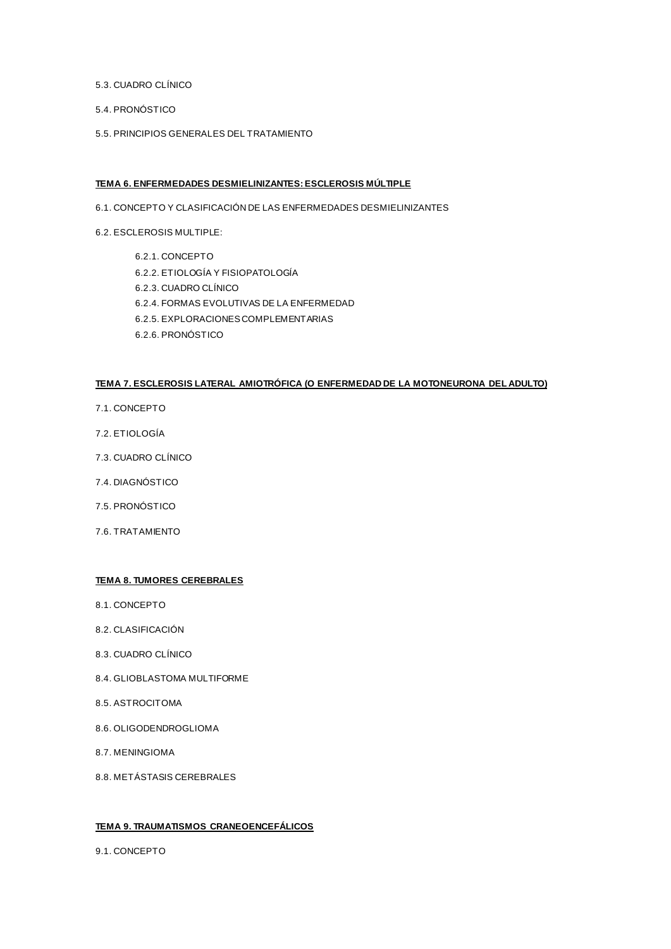- 5.3. CUADRO CLÍNICO
- 5.4. PRONÓSTICO
- 5.5. PRINCIPIOS GENERALES DEL TRATAMIENTO

### **TEMA 6. ENFERMEDADES DESMIELINIZANTES: ESCLEROSIS MÚLTIPLE**

- 6.1. CONCEPTO Y CLASIFICACIÓN DE LAS ENFERMEDADES DESMIELINIZANTES
- 6.2. ESCLEROSIS MULTIPLE:
	- 6.2.1. CONCEPTO 6.2.2. ETIOLOGÍA Y FISIOPATOLOGÍA 6.2.3. CUADRO CLÍNICO 6.2.4. FORMAS EVOLUTIVAS DE LA ENFERMEDAD 6.2.5. EXPLORACIONES COMPLEMENTARIAS 6.2.6. PRONÓSTICO

## **TEMA 7. ESCLEROSIS LATERAL AMIOTRÓFICA (O ENFERMEDAD DE LA MOTONEURONA DEL ADULTO)**

- 7.1. CONCEPTO
- 7.2. ETIOLOGÍA
- 7.3. CUADRO CLÍNICO
- 7.4. DIAGNÓSTICO
- 7.5. PRONÓSTICO
- 7.6. TRATAMIENTO

## **TEMA 8. TUMORES CEREBRALES**

- 8.1. CONCEPTO
- 8.2. CLASIFICACIÓN
- 8.3. CUADRO CLÍNICO
- 8.4. GLIOBLASTOMA MULTIFORME
- 8.5. ASTROCITOMA
- 8.6. OLIGODENDROGLIOMA
- 8.7. MENINGIOMA
- 8.8. METÁSTASIS CEREBRALES

## **TEMA 9. TRAUMATISMOS CRANEOENCEFÁLICOS**

9.1. CONCEPTO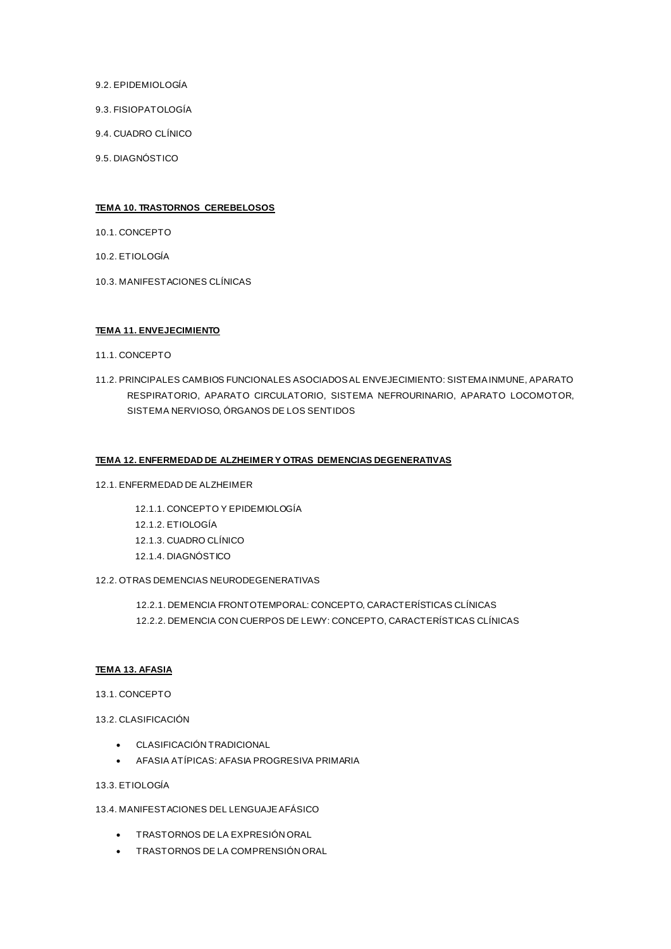- 9.2. EPIDEMIOLOGÍA
- 9.3. FISIOPATOLOGÍA
- 9.4. CUADRO CLÍNICO
- 9.5. DIAGNÓSTICO

### **TEMA 10. TRASTORNOS CEREBELOSOS**

- 10.1. CONCEPTO
- 10.2. ETIOLOGÍA
- 10.3. MANIFESTACIONES CLÍNICAS

## **TEMA 11. ENVEJECIMIENTO**

- 11.1. CONCEPTO
- 11.2. PRINCIPALES CAMBIOS FUNCIONALES ASOCIADOS AL ENVEJECIMIENTO: SISTEMA INMUNE, APARATO RESPIRATORIO, APARATO CIRCULATORIO, SISTEMA NEFROURINARIO, APARATO LOCOMOTOR, SISTEMA NERVIOSO, ÓRGANOS DE LOS SENTIDOS

### **TEMA 12. ENFERMEDAD DE ALZHEIMER Y OTRAS DEMENCIAS DEGENERATIVAS**

12.1. ENFERMEDAD DE ALZHEIMER

12.1.1. CONCEPTO Y EPIDEMIOLOGÍA 12.1.2. ETIOLOGÍA 12.1.3. CUADRO CLÍNICO 12.1.4. DIAGNÓSTICO

### 12.2. OTRAS DEMENCIAS NEURODEGENERATIVAS

12.2.1. DEMENCIA FRONTOTEMPORAL: CONCEPTO, CARACTERÍSTICAS CLÍNICAS 12.2.2. DEMENCIA CON CUERPOS DE LEWY: CONCEPTO, CARACTERÍSTICAS CLÍNICAS

### **TEMA 13. AFASIA**

#### 13.1. CONCEPTO

- 13.2. CLASIFICACIÓN
	- CLASIFICACIÓN TRADICIONAL
	- AFASIA ATÍPICAS: AFASIA PROGRESIVA PRIMARIA

## 13.3. ETIOLOGÍA

- 13.4. MANIFESTACIONES DEL LENGUAJE AFÁSICO
	- TRASTORNOS DE LA EXPRESIÓN ORAL
	- TRASTORNOS DE LA COMPRENSIÓN ORAL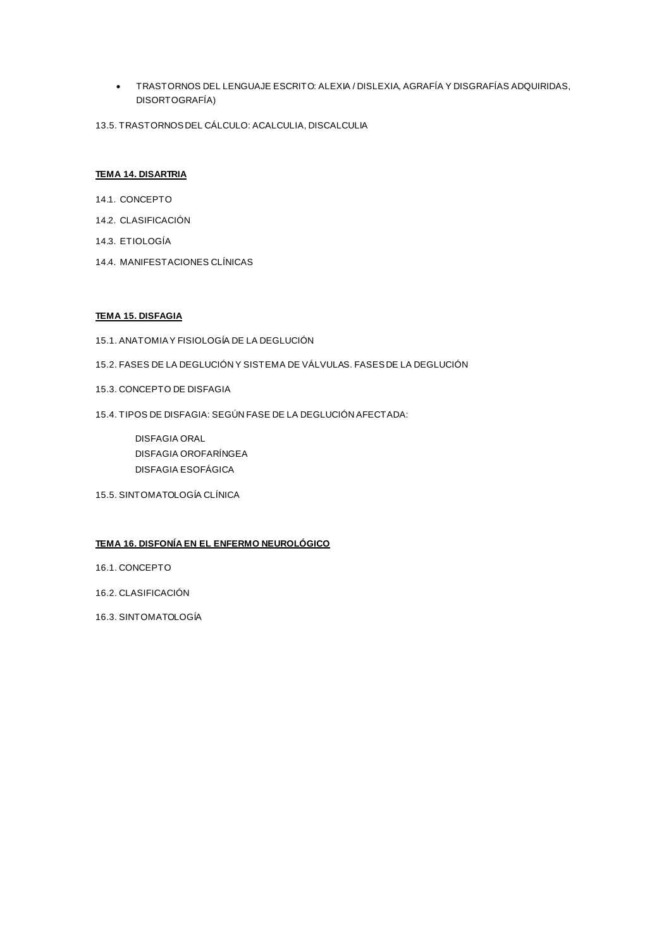- TRASTORNOS DEL LENGUAJE ESCRITO: ALEXIA / DISLEXIA, AGRAFÍA Y DISGRAFÍAS ADQUIRIDAS, DISORTOGRAFÍA)
- 13.5. TRASTORNOS DEL CÁLCULO: ACALCULIA, DISCALCULIA

### **TEMA 14. DISARTRIA**

- 14.1. CONCEPTO
- 14.2. CLASIFICACIÓN
- 14.3. ETIOLOGÍA
- 14.4. MANIFESTACIONES CLÍNICAS

## **TEMA 15. DISFAGIA**

- 15.1. ANATOMIA Y FISIOLOGÍA DE LA DEGLUCIÓN
- 15.2. FASES DE LA DEGLUCIÓN Y SISTEMA DE VÁLVULAS. FASES DE LA DEGLUCIÓN
- 15.3. CONCEPTO DE DISFAGIA
- 15.4. TIPOS DE DISFAGIA: SEGÚN FASE DE LA DEGLUCIÓN AFECTADA:

DISFAGIA ORAL DISFAGIA OROFARÍNGEA DISFAGIA ESOFÁGICA

15.5. SINTOMATOLOGÍA CLÍNICA

## **TEMA 16. DISFONÍA EN EL ENFERMO NEUROLÓGICO**

- 16.1. CONCEPTO
- 16.2. CLASIFICACIÓN
- 16.3. SINTOMATOLOGÍA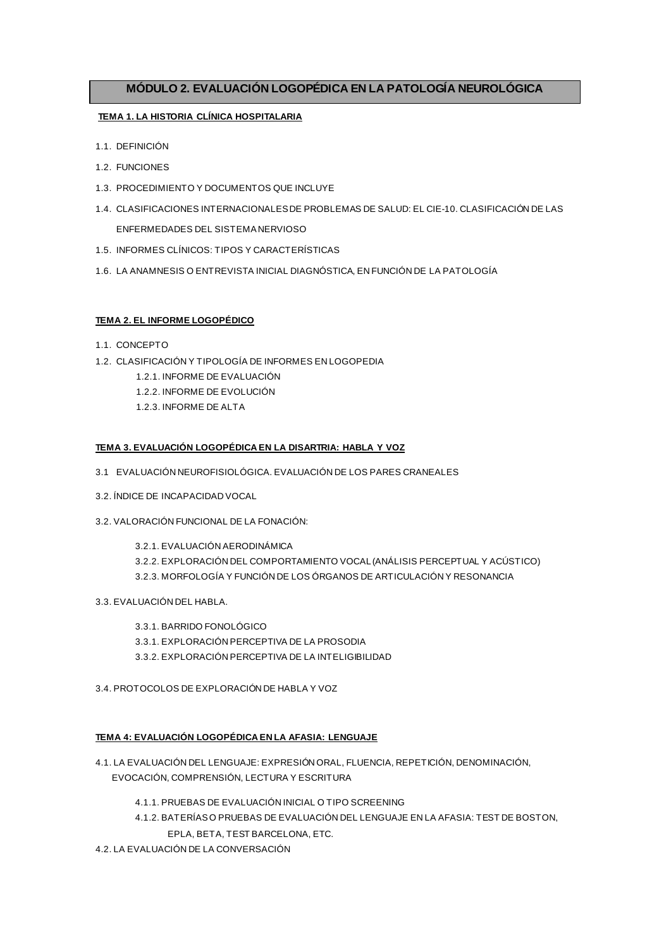## **MÓDULO 2. EVALUACIÓN LOGOPÉDICA EN LA PATOLOGÍA NEUROLÓGICA**

## **TEMA 1. LA HISTORIA CLÍNICA HOSPITALARIA**

- 1.1. DEFINICIÓN
- 1.2. FUNCIONES
- 1.3. PROCEDIMIENTO Y DOCUMENTOS QUE INCLUYE
- 1.4. CLASIFICACIONES INTERNACIONALES DE PROBLEMAS DE SALUD: EL CIE-10. CLASIFICACIÓN DE LAS ENFERMEDADES DEL SISTEMA NERVIOSO
- 1.5. INFORMES CLÍNICOS: TIPOS Y CARACTERÍSTICAS
- 1.6. LA ANAMNESIS O ENTREVISTA INICIAL DIAGNÓSTICA, EN FUNCIÓN DE LA PATOLOGÍA

## **TEMA 2. EL INFORME LOGOPÉDICO**

- 1.1. CONCEPTO
- 1.2. CLASIFICACIÓN Y TIPOLOGÍA DE INFORMES EN LOGOPEDIA
	- 1.2.1. INFORME DE EVALUACIÓN
	- 1.2.2. INFORME DE EVOLUCIÓN
	- 1.2.3. INFORME DE ALTA

### **TEMA 3. EVALUACIÓN LOGOPÉDICA EN LA DISARTRIA: HABLA Y VOZ**

- 3.1 EVALUACIÓN NEUROFISIOLÓGICA. EVALUACIÓN DE LOS PARES CRANEALES
- 3.2. ÍNDICE DE INCAPACIDAD VOCAL
- 3.2. VALORACIÓN FUNCIONAL DE LA FONACIÓN:

3.2.1. EVALUACIÓN AERODINÁMICA 3.2.2. EXPLORACIÓN DEL COMPORTAMIENTO VOCAL (ANÁLISIS PERCEPTUAL Y ACÚSTICO) 3.2.3. MORFOLOGÍA Y FUNCIÓN DE LOS ÓRGANOS DE ARTICULACIÓN Y RESONANCIA

- 3.3. EVALUACIÓN DEL HABLA.
	- 3.3.1. BARRIDO FONOLÓGICO
	- 3.3.1. EXPLORACIÓN PERCEPTIVA DE LA PROSODIA
	- 3.3.2. EXPLORACIÓN PERCEPTIVA DE LA INTELIGIBILIDAD
- 3.4. PROTOCOLOS DE EXPLORACIÓN DE HABLA Y VOZ

### **TEMA 4: EVALUACIÓN LOGOPÉDICA EN LA AFASIA: LENGUAJE**

- 4.1. LA EVALUACIÓN DEL LENGUAJE: EXPRESIÓN ORAL, FLUENCIA, REPETICIÓN, DENOMINACIÓN, EVOCACIÓN, COMPRENSIÓN, LECTURA Y ESCRITURA
	- 4.1.1. PRUEBAS DE EVALUACIÓN INICIAL O TIPO SCREENING
	- 4.1.2. BATERÍAS O PRUEBAS DE EVALUACIÓN DEL LENGUAJE EN LA AFASIA: TEST DE BOSTON,

EPLA, BETA, TEST BARCELONA, ETC.

4.2. LA EVALUACIÓN DE LA CONVERSACIÓN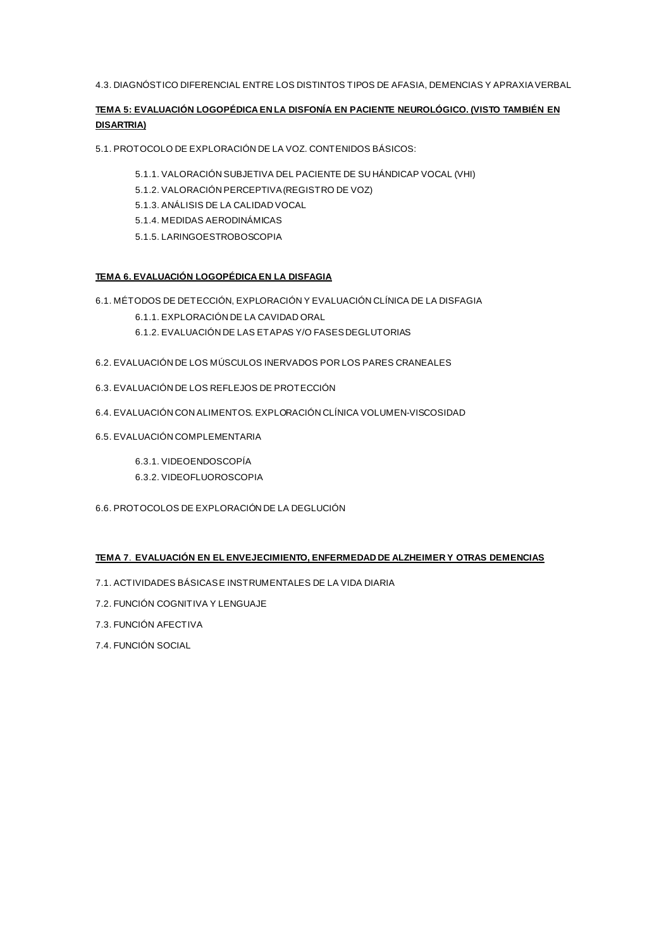4.3. DIAGNÓSTICO DIFERENCIAL ENTRE LOS DISTINTOS TIPOS DE AFASIA, DEMENCIAS Y APRAXIA VERBAL

## **TEMA 5: EVALUACIÓN LOGOPÉDICA EN LA DISFONÍA EN PACIENTE NEUROLÓGICO. (VISTO TAMBIÉN EN DISARTRIA)**

5.1. PROTOCOLO DE EXPLORACIÓN DE LA VOZ. CONTENIDOS BÁSICOS:

- 5.1.1. VALORACIÓN SUBJETIVA DEL PACIENTE DE SU HÁNDICAP VOCAL (VHI)
- 5.1.2. VALORACIÓN PERCEPTIVA (REGISTRO DE VOZ)
- 5.1.3. ANÁLISIS DE LA CALIDAD VOCAL
- 5.1.4. MEDIDAS AERODINÁMICAS
- 5.1.5. LARINGOESTROBOSCOPIA

## **TEMA 6. EVALUACIÓN LOGOPÉDICA EN LA DISFAGIA**

- 6.1. MÉTODOS DE DETECCIÓN, EXPLORACIÓN Y EVALUACIÓN CLÍNICA DE LA DISFAGIA
	- 6.1.1. EXPLORACIÓN DE LA CAVIDAD ORAL
	- 6.1.2. EVALUACIÓN DE LAS ETAPAS Y/O FASES DEGLUTORIAS
- 6.2. EVALUACIÓN DE LOS MÚSCULOS INERVADOS POR LOS PARES CRANEALES
- 6.3. EVALUACIÓN DE LOS REFLEJOS DE PROTECCIÓN
- 6.4. EVALUACIÓN CON ALIMENTOS. EXPLORACIÓN CLÍNICA VOLUMEN-VISCOSIDAD
- 6.5. EVALUACIÓN COMPLEMENTARIA
	- 6.3.1. VIDEOENDOSCOPÍA
	- 6.3.2. VIDEOFLUOROSCOPIA
- 6.6. PROTOCOLOS DE EXPLORACIÓN DE LA DEGLUCIÓN

## **TEMA 7**. **EVALUACIÓN EN EL ENVEJECIMIENTO, ENFERMEDAD DE ALZHEIMER Y OTRAS DEMENCIAS**

- 7.1. ACTIVIDADES BÁSICAS E INSTRUMENTALES DE LA VIDA DIARIA
- 7.2. FUNCIÓN COGNITIVA Y LENGUAJE
- 7.3. FUNCIÓN AFECTIVA
- 7.4. FUNCIÓN SOCIAL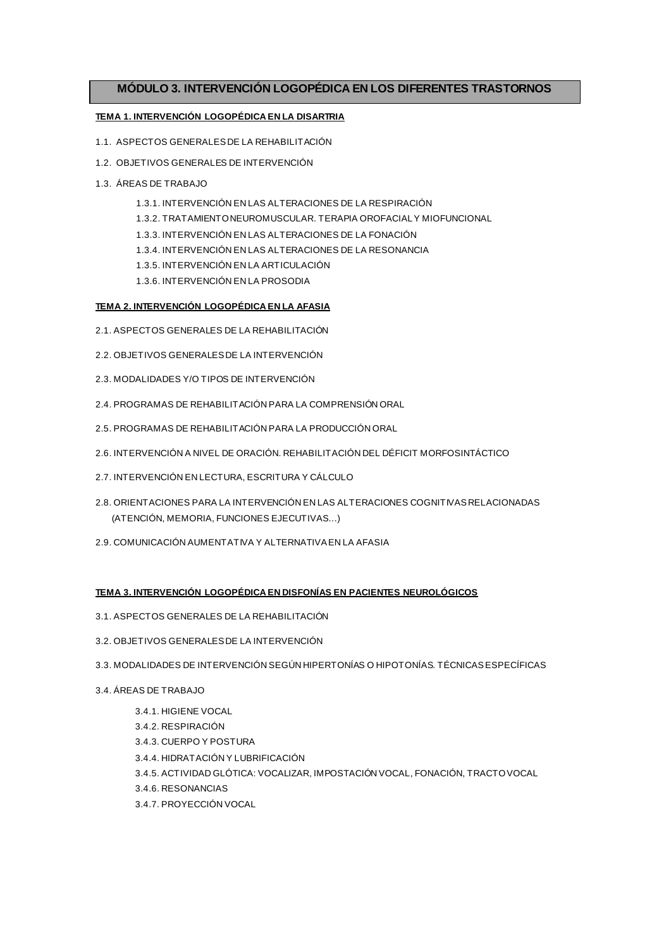## **MÓDULO 3. INTERVENCIÓN LOGOPÉDICA EN LOS DIFERENTES TRASTORNOS**

## **TEMA 1. INTERVENCIÓN LOGOPÉDICA EN LA DISARTRIA**

- 1.1. ASPECTOS GENERALES DE LA REHABILITACIÓN
- 1.2. OBJETIVOS GENERALES DE INTERVENCIÓN
- 1.3. ÁREAS DE TRABAJO
	- 1.3.1. INTERVENCIÓN EN LAS ALTERACIONES DE LA RESPIRACIÓN
	- 1.3.2. TRATAMIENTO NEUROMUSCULAR. TERAPIA OROFACIAL Y MIOFUNCIONAL
	- 1.3.3. INTERVENCIÓN EN LAS ALTERACIONES DE LA FONACIÓN
	- 1.3.4. INTERVENCIÓN EN LAS ALTERACIONES DE LA RESONANCIA
	- 1.3.5. INTERVENCIÓN EN LA ARTICULACIÓN
	- 1.3.6. INTERVENCIÓN EN LA PROSODIA

### **TEMA 2. INTERVENCIÓN LOGOPÉDICA EN LA AFASIA**

- 2.1. ASPECTOS GENERALES DE LA REHABILITACIÓN
- 2.2. OBJETIVOS GENERALES DE LA INTERVENCIÓN
- 2.3. MODALIDADES Y/O TIPOS DE INTERVENCIÓN
- 2.4. PROGRAMAS DE REHABILITACIÓN PARA LA COMPRENSIÓN ORAL
- 2.5. PROGRAMAS DE REHABILITACIÓN PARA LA PRODUCCIÓN ORAL
- 2.6. INTERVENCIÓN A NIVEL DE ORACIÓN. REHABILITACIÓN DEL DÉFICIT MORFOSINTÁCTICO
- 2.7. INTERVENCIÓN EN LECTURA, ESCRITURA Y CÁLCULO
- 2.8. ORIENTACIONES PARA LA INTERVENCIÓN EN LAS ALTERACIONES COGNITIVAS RELACIONADAS (ATENCIÓN, MEMORIA, FUNCIONES EJECUTIVAS…)
- 2.9. COMUNICACIÓN AUMENTATIVA Y ALTERNATIVA EN LA AFASIA

### **TEMA 3. INTERVENCIÓN LOGOPÉDICA EN DISFONÍAS EN PACIENTES NEUROLÓGICOS**

- 3.1. ASPECTOS GENERALES DE LA REHABILITACIÓN
- 3.2. OBJETIVOS GENERALES DE LA INTERVENCIÓN
- 3.3. MODALIDADES DE INTERVENCIÓN SEGÚN HIPERTONÍAS O HIPOTONÍAS. TÉCNICAS ESPECÍFICAS
- 3.4. ÁREAS DE TRABAJO
	- 3.4.1. HIGIENE VOCAL
	- 3.4.2. RESPIRACIÓN
	- 3.4.3. CUERPO Y POSTURA
	- 3.4.4. HIDRATACIÓN Y LUBRIFICACIÓN
	- 3.4.5. ACTIVIDAD GLÓTICA: VOCALIZAR, IMPOSTACIÓN VOCAL, FONACIÓN, TRACTO VOCAL
	- 3.4.6. RESONANCIAS
	- 3.4.7. PROYECCIÓN VOCAL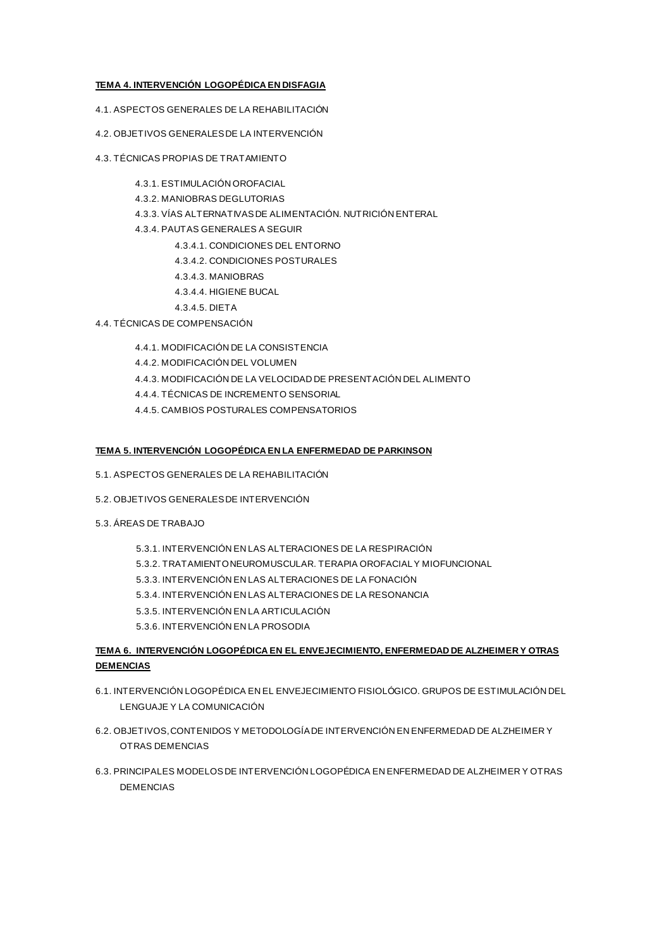## **TEMA 4. INTERVENCIÓN LOGOPÉDICA EN DISFAGIA**

- 4.1. ASPECTOS GENERALES DE LA REHABILITACIÓN
- 4.2. OBJETIVOS GENERALES DE LA INTERVENCIÓN
- 4.3. TÉCNICAS PROPIAS DE TRATAMIENTO
	- 4.3.1. ESTIMULACIÓN OROFACIAL
	- 4.3.2. MANIOBRAS DEGLUTORIAS
	- 4.3.3. VÍAS ALTERNATIVAS DE ALIMENTACIÓN. NUTRICIÓN ENTERAL
	- 4.3.4. PAUTAS GENERALES A SEGUIR
		- 4.3.4.1. CONDICIONES DEL ENTORNO
		- 4.3.4.2. CONDICIONES POSTURALES
		- 4.3.4.3. MANIOBRAS
		- 4.3.4.4. HIGIENE BUCAL
		- 4.3.4.5. DIETA
- 4.4. TÉCNICAS DE COMPENSACIÓN
	- 4.4.1. MODIFICACIÓN DE LA CONSISTENCIA
	- 4.4.2. MODIFICACIÓN DEL VOLUMEN
	- 4.4.3. MODIFICACIÓN DE LA VELOCIDAD DE PRESENTACIÓN DEL ALIMENTO
	- 4.4.4. TÉCNICAS DE INCREMENTO SENSORIAL
	- 4.4.5. CAMBIOS POSTURALES COMPENSATORIOS

### **TEMA 5. INTERVENCIÓN LOGOPÉDICA EN LA ENFERMEDAD DE PARKINSON**

- 5.1. ASPECTOS GENERALES DE LA REHABILITACIÓN
- 5.2. OBJETIVOS GENERALES DE INTERVENCIÓN
- 5.3. ÁREAS DE TRABAJO
	- 5.3.1. INTERVENCIÓN EN LAS ALTERACIONES DE LA RESPIRACIÓN
	- 5.3.2. TRATAMIENTO NEUROMUSCULAR. TERAPIA OROFACIAL Y MIOFUNCIONAL
	- 5.3.3. INTERVENCIÓN EN LAS ALTERACIONES DE LA FONACIÓN
	- 5.3.4. INTERVENCIÓN EN LAS ALTERACIONES DE LA RESONANCIA
	- 5.3.5. INTERVENCIÓN EN LA ARTICULACIÓN
	- 5.3.6. INTERVENCIÓN EN LA PROSODIA

## **TEMA 6. INTERVENCIÓN LOGOPÉDICA EN EL ENVEJECIMIENTO, ENFERMEDAD DE ALZHEIMER Y OTRAS DEMENCIAS**

- 6.1. INTERVENCIÓN LOGOPÉDICA EN EL ENVEJECIMIENTO FISIOLÓGICO. GRUPOS DE ESTIMULACIÓN DEL LENGUAJE Y LA COMUNICACIÓN
- 6.2. OBJETIVOS, CONTENIDOS Y METODOLOGÍA DE INTERVENCIÓN EN ENFERMEDAD DE ALZHEIMER Y OTRAS DEMENCIAS
- 6.3. PRINCIPALES MODELOS DE INTERVENCIÓN LOGOPÉDICA EN ENFERMEDAD DE ALZHEIMER Y OTRAS DEMENCIAS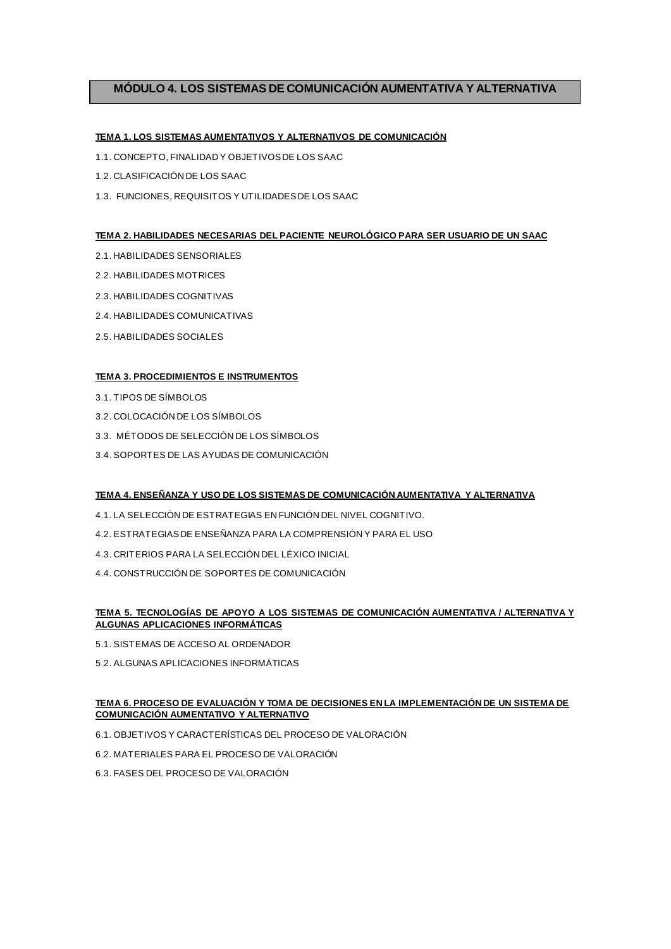## **MÓDULO 4. LOS SISTEMAS DE COMUNICACIÓN AUMENTATIVA Y ALTERNATIVA**

## **TEMA 1. LOS SISTEMAS AUMENTATIVOS Y ALTERNATIVOS DE COMUNICACIÓN**

- 1.1. CONCEPTO, FINALIDAD Y OBJETIVOS DE LOS SAAC
- 1.2. CLASIFICACIÓN DE LOS SAAC
- 1.3. FUNCIONES, REQUISITOS Y UTILIDADES DE LOS SAAC

### **TEMA 2. HABILIDADES NECESARIAS DEL PACIENTE NEUROLÓGICO PARA SER USUARIO DE UN SAAC**

- 2.1. HABILIDADES SENSORIALES
- 2.2. HABILIDADES MOTRICES
- 2.3. HABILIDADES COGNITIVAS
- 2.4. HABILIDADES COMUNICATIVAS
- 2.5. HABILIDADES SOCIALES

#### **TEMA 3. PROCEDIMIENTOS E INSTRUMENTOS**

- 3.1. TIPOS DE SÍMBOLOS
- 3.2. COLOCACIÓN DE LOS SÍMBOLOS
- 3.3. MÉTODOS DE SELECCIÓN DE LOS SÍMBOLOS
- 3.4. SOPORTES DE LAS AYUDAS DE COMUNICACIÓN

## **TEMA 4. ENSEÑANZA Y USO DE LOS SISTEMAS DE COMUNICACIÓN AUMENTATIVA Y ALTERNATIVA**

- 4.1. LA SELECCIÓN DE ESTRATEGIAS EN FUNCIÓN DEL NIVEL COGNITIVO.
- 4.2. ESTRATEGIAS DE ENSEÑANZA PARA LA COMPRENSIÓN Y PARA EL USO
- 4.3. CRITERIOS PARA LA SELECCIÓN DEL LÉXICO INICIAL
- 4.4. CONSTRUCCIÓN DE SOPORTES DE COMUNICACIÓN

## **TEMA 5. TECNOLOGÍAS DE APOYO A LOS SISTEMAS DE COMUNICACIÓN AUMENTATIVA / ALTERNATIVA Y ALGUNAS APLICACIONES INFORMÁTICAS**

- 5.1. SISTEMAS DE ACCESO AL ORDENADOR
- 5.2. ALGUNAS APLICACIONES INFORMÁTICAS

## **TEMA 6. PROCESO DE EVALUACIÓN Y TOMA DE DECISIONES EN LA IMPLEMENTACIÓN DE UN SISTEMA DE COMUNICACIÓN AUMENTATIVO Y ALTERNATIVO**

- 6.1. OBJETIVOS Y CARACTERÍSTICAS DEL PROCESO DE VALORACIÓN
- 6.2. MATERIALES PARA EL PROCESO DE VALORACIÓN
- 6.3. FASES DEL PROCESO DE VALORACIÓN